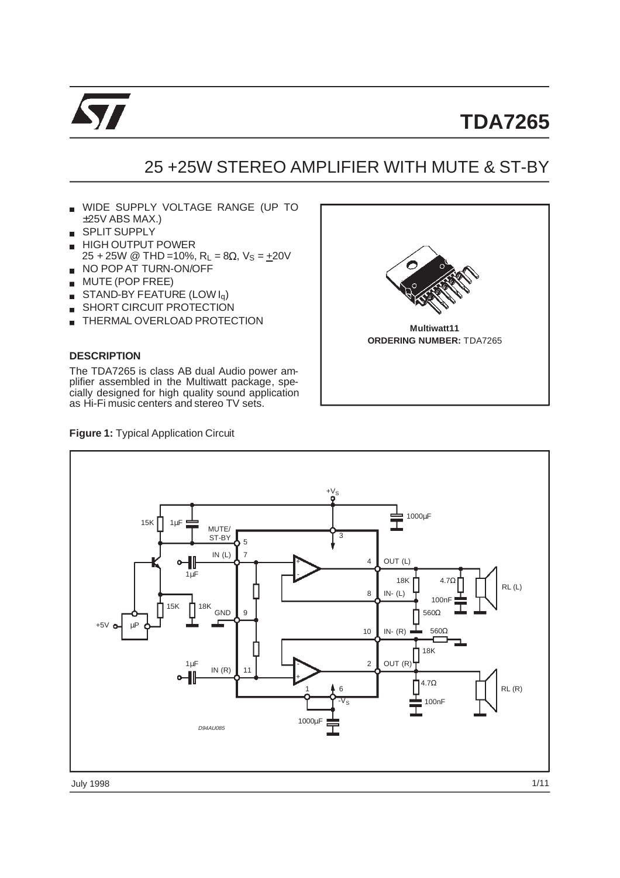

## 25 +25W STEREO AMPLIFIER WITH MUTE & ST-BY

- WIDE SUPPLY VOLTAGE RANGE (UP TO  $\blacksquare$ ±25V ABS MAX.)
- SPLIT SUPPLY  $\blacksquare$
- HIGH OUTPUT POWER  $25 + 25W$  @ THD = 10%, R<sub>L</sub> = 8Ω, V<sub>S</sub> =  $\pm$ 20V
- NO POP AT TURN-ON/OFF
- **MUTE (POP FREE)**
- STAND-BY FEATURE (LOW  $I<sub>q</sub>$ ) r.
- **SHORT CIRCUIT PROTECTION**
- THERMAL OVERLOAD PROTECTION  $\mathbf{m}$  .

#### **DESCRIPTION**

The TDA7265 is class AB dual Audio power amplifier assembled in the Multiwatt package, specially designed for high quality sound application as Hi-Fi music centers and stereo TV sets.

**Figure 1:** Typical Application Circuit



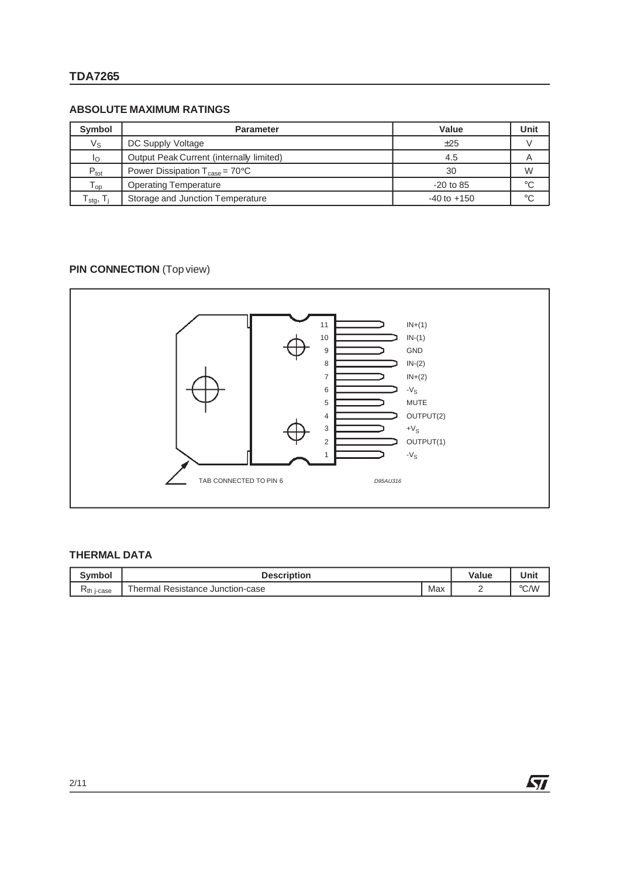#### **ABSOLUTE MAXIMUM RATINGS**

| <b>Symbol</b>                      | <b>Parameter</b>                                   | Value           | Unit        |
|------------------------------------|----------------------------------------------------|-----------------|-------------|
| Vs                                 | DC Supply Voltage                                  | ±25             |             |
| Ιo                                 | Output Peak Current (internally limited)           | 4.5             |             |
| $P_{\text{tot}}$                   | Power Dissipation $T_{\text{case}} = 70^{\circ}$ C | 30              | W           |
| $\mathsf{T}_{\mathsf{op}}$         | <b>Operating Temperature</b>                       | $-20$ to 85     | $^{\circ}C$ |
| $T_{\mathsf{std}}, T_{\mathsf{i}}$ | Storage and Junction Temperature                   | $-40$ to $+150$ | $^{\circ}C$ |

## **PIN CONNECTION** (Top view)



### **THERMAL DATA**

| <b>Symbol</b>   | <b>Description</b>                                              |     |   | Unit          |
|-----------------|-----------------------------------------------------------------|-----|---|---------------|
| $R_{th}$ j-case | $\overline{\phantom{a}}$<br>⊺hermal<br>Resistance Junction-case | Max | - | $\degree$ C/W |

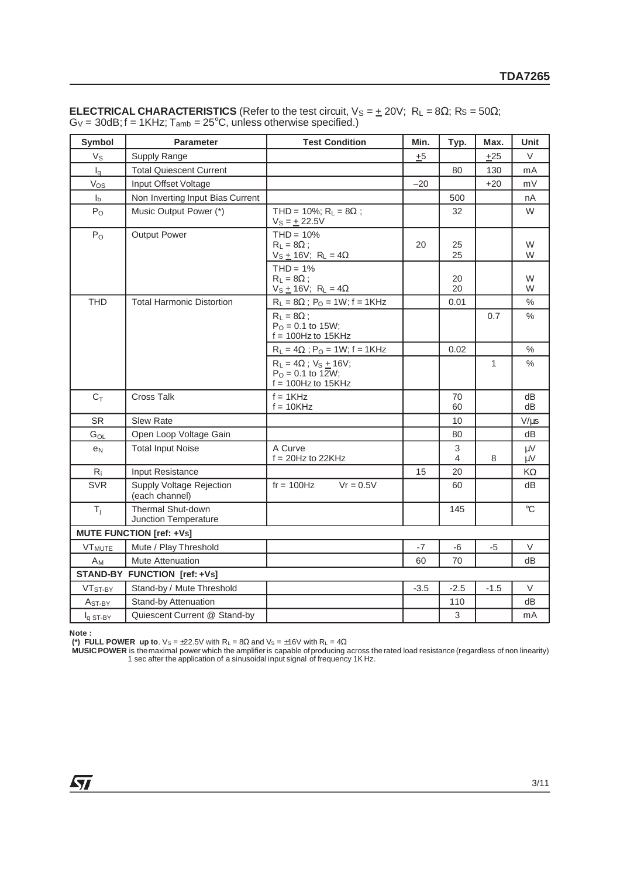| Symbol                          | <b>Parameter</b>                           | <b>Test Condition</b>                                                            | Min.   | Typ.     | Max.   | <b>Unit</b>       |  |  |
|---------------------------------|--------------------------------------------|----------------------------------------------------------------------------------|--------|----------|--------|-------------------|--|--|
| $\mathsf{V}_{\mathsf{S}}$       | Supply Range                               |                                                                                  | ±5     |          | ±25    | $\vee$            |  |  |
| $I_q$                           | <b>Total Quiescent Current</b>             |                                                                                  |        | 80       | 130    | mA                |  |  |
| Vos                             | Input Offset Voltage                       |                                                                                  | $-20$  |          | $+20$  | mV                |  |  |
| I <sub>b</sub>                  | Non Inverting Input Bias Current           |                                                                                  |        | 500      |        | nA                |  |  |
| $P_{O}$                         | Music Output Power (*)                     | THD = 10%; $R_L = 8\Omega$ ;<br>$V_S = \pm 22.5V$                                |        | 32       |        | W                 |  |  |
| $P_{O}$                         | <b>Output Power</b>                        | $THD = 10%$<br>$R_L = 8\Omega$ ;<br>$Vs \pm 16V$ ; RL = $4\Omega$                | 20     | 25<br>25 |        | W<br>W            |  |  |
|                                 |                                            | $THD = 1%$<br>$R_L = 8\Omega$ ;<br>$V_S \pm 16V$ ; R <sub>L</sub> = $4\Omega$    |        | 20<br>20 |        | W<br>W            |  |  |
| <b>THD</b>                      | <b>Total Harmonic Distortion</b>           | $R_L = 8\Omega$ ; P <sub>O</sub> = 1W; f = 1KHz                                  |        | 0.01     |        | $\%$              |  |  |
|                                 |                                            | $R_L = 8\Omega$ ;<br>$PO = 0.1$ to 15W;<br>$f = 100$ Hz to $15$ KHz              |        |          | 0.7    | $\frac{0}{0}$     |  |  |
|                                 |                                            | $R_L = 4\Omega$ ; P <sub>O</sub> = 1W; f = 1KHz                                  |        | 0.02     |        | $\frac{0}{0}$     |  |  |
|                                 |                                            | $R_L = 4\Omega$ ; $V_S \pm 16V$ ;<br>$PO = 0.1$ to 12W;<br>$f = 100$ Hz to 15KHz |        |          | 1      | $\%$              |  |  |
| $C_T$                           | <b>Cross Talk</b>                          | $f = 1KHz$<br>$f = 10KHz$                                                        |        | 70<br>60 |        | dB<br>dB          |  |  |
| <b>SR</b>                       | Slew Rate                                  |                                                                                  |        | 10       |        | $V/\mu s$         |  |  |
| $G_{OL}$                        | Open Loop Voltage Gain                     |                                                                                  |        | 80       |        | dB                |  |  |
| e <sub>N</sub>                  | <b>Total Input Noise</b>                   | A Curve<br>$f = 20Hz$ to 22KHz                                                   |        | 3<br>4   | 8      | μV<br>$\mu$ V     |  |  |
| $R_i$                           | Input Resistance                           |                                                                                  | 15     | 20       |        | $K\Omega$         |  |  |
| <b>SVR</b>                      | Supply Voltage Rejection<br>(each channel) | $fr = 100 Hz$<br>$Vr = 0.5V$                                                     |        | 60       |        | dВ                |  |  |
| $T_i$                           | Thermal Shut-down<br>Junction Temperature  |                                                                                  |        | 145      |        | $^{\circ}{\rm C}$ |  |  |
| <b>MUTE FUNCTION [ref: +Vs]</b> |                                            |                                                                                  |        |          |        |                   |  |  |
| <b>VTMUTE</b>                   | Mute / Play Threshold                      |                                                                                  | $-7$   | -6       | $-5$   | V                 |  |  |
| $A_M$                           | <b>Mute Attenuation</b>                    |                                                                                  | 60     | 70       |        | dB                |  |  |
| STAND-BY FUNCTION [ref: +Vs]    |                                            |                                                                                  |        |          |        |                   |  |  |
| VT <sub>ST-BY</sub>             | Stand-by / Mute Threshold                  |                                                                                  | $-3.5$ | $-2.5$   | $-1.5$ | $\vee$            |  |  |
| A <sub>ST-BY</sub>              | <b>Stand-by Attenuation</b>                |                                                                                  |        | 110      |        | dB                |  |  |
| $I_q$ ST-BY                     | Quiescent Current @ Stand-by               |                                                                                  |        | 3        |        | mA                |  |  |

**ELECTRICAL CHARACTERISTICS** (Refer to the test circuit,  $V_S = \pm 20V$ ; R<sub>L</sub> =  $8\Omega$ ; Rs =  $50\Omega$ ;  $G_V = 30dB$ ; f = 1KHz; T<sub>amb</sub> = 25°C, unless otherwise specified.)

**Note :<br>(\*) FULL POWER up to**. V<sub>S</sub> = ±22.5V with R<sub>L</sub> = 8Ω and V<sub>S</sub> = ±16V with R<sub>L</sub> = 4Ω

**MUSICPOWER** is themaximal power which the amplifier is capable of producing across the rated load resistance (regardless of non linearity) 1 sec after the application of a sinusoidal input signal of frequency 1K Hz.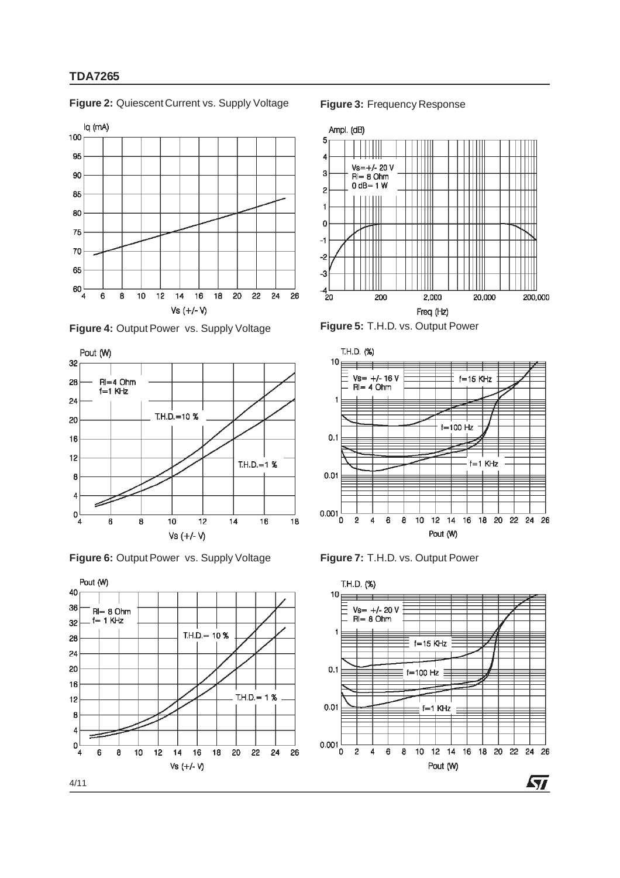#### **Figure 2:** Quiescent Current vs. Supply Voltage **Figure 3:** Frequency Response



**Figure 4:** Output Power vs. Supply Voltage **Figure 5:** T.H.D. vs. Output Power



**Figure 6:** Output Power vs. Supply Voltage **Figure 7:** T.H.D. vs. Output Power









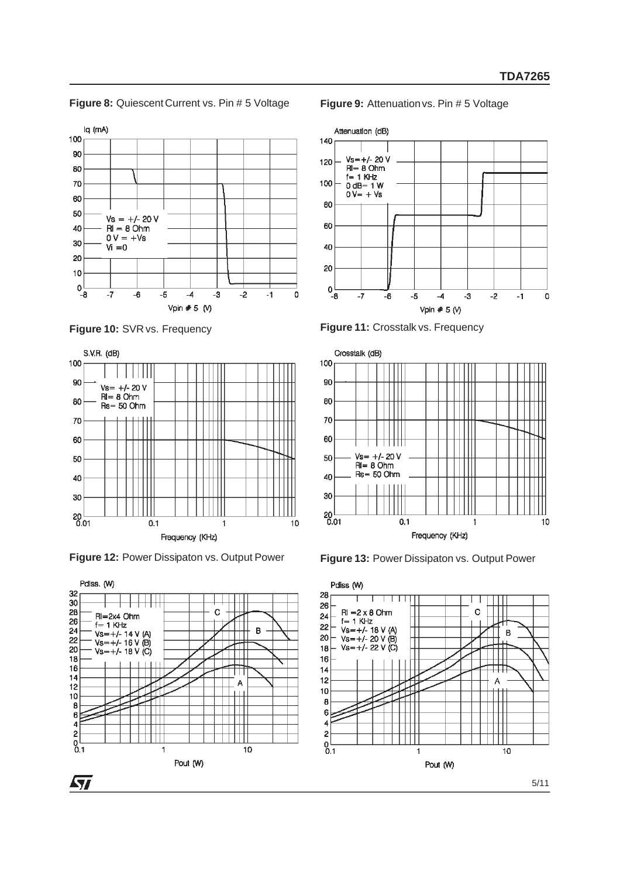#### **Figure 8:** Quiescent Current vs. Pin # 5 Voltage **Figure 9:** Attenuationvs. Pin # 5 Voltage





**Figure 12:** Power Dissipaton vs. Output Power **Figure 13:** Power Dissipaton vs. Output Power









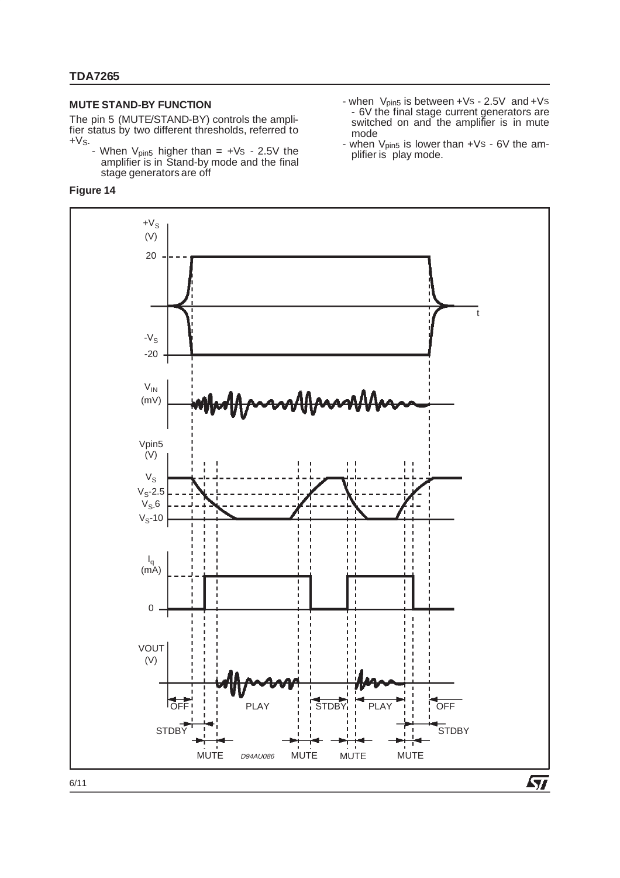#### **MUTE STAND-BY FUNCTION**

The pin 5 (MUTE/STAND-BY) controls the amplifier status by two different thresholds, referred to  $+V<sub>S</sub>$ .

- When  $V_{pin5}$  higher than =  $+Vs$  - 2.5V the amplifier is in Stand-by mode and the final stage generators are off

#### **Figure 14**

- when V<sub>pin5</sub> is between +Vs 2.5V and +Vs - 6V the final stage current generators are switched on and the amplifier is in mute mode
- when V<sub>pin5</sub> is lower than +Vs 6V the amplifier is play mode.

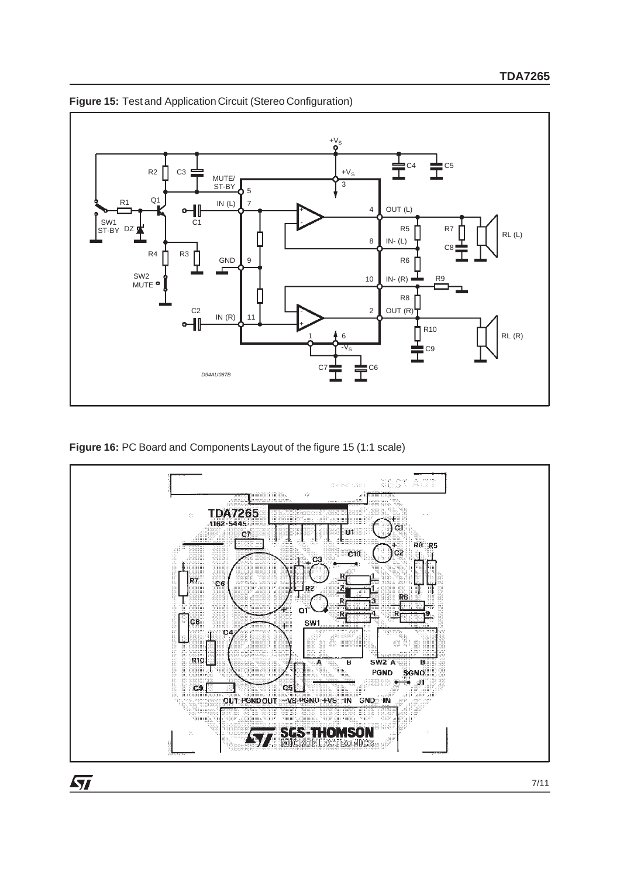

**Figure 15:** Test and Application Circuit (Stereo Configuration)

**Figure 16:** PC Board and Components Layout of the figure 15 (1:1 scale)

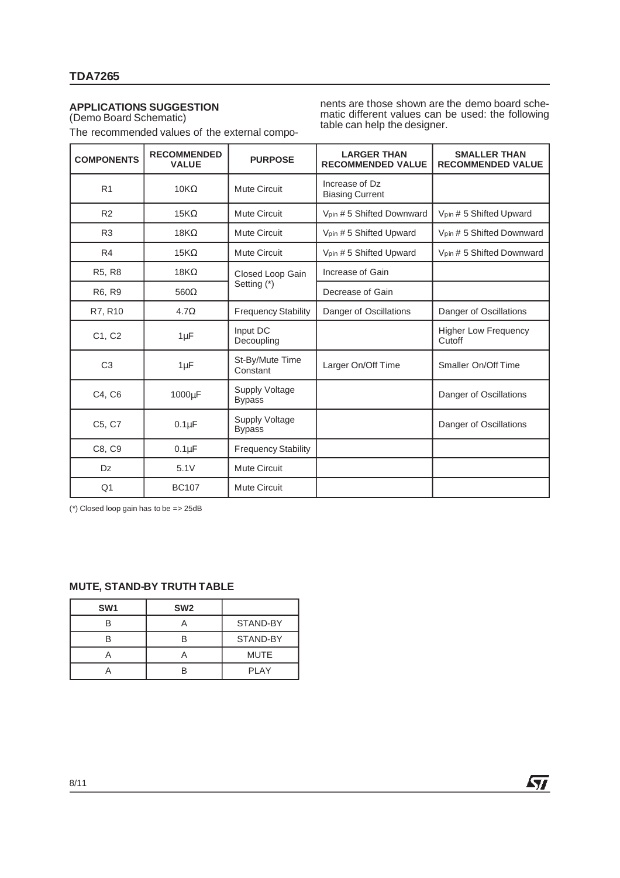#### **APPLICATIONS SUGGESTION**

(Demo Board Schematic)

The recommended values of the external compo-

nents are those shown are the demo board schematic different values can be used: the following table can help the designer.

| <b>COMPONENTS</b>               | <b>RECOMMENDED</b><br><b>VALUE</b> | <b>PURPOSE</b>                         | <b>LARGER THAN</b><br><b>RECOMMENDED VALUE</b> | <b>SMALLER THAN</b><br><b>RECOMMENDED VALUE</b> |  |
|---------------------------------|------------------------------------|----------------------------------------|------------------------------------------------|-------------------------------------------------|--|
| R <sub>1</sub>                  | 10K <sub>Ω</sub>                   | Mute Circuit                           | Increase of Dz<br><b>Biasing Current</b>       |                                                 |  |
| R <sub>2</sub>                  | $15K\Omega$                        | Mute Circuit                           | V <sub>pin</sub> # 5 Shifted Downward          | V <sub>pin</sub> # 5 Shifted Upward             |  |
| R <sub>3</sub>                  | $18K\Omega$                        | <b>Mute Circuit</b>                    | V <sub>pin</sub> #5 Shifted Upward             | V <sub>pin</sub> # 5 Shifted Downward           |  |
| R <sub>4</sub>                  | $15K\Omega$                        | <b>Mute Circuit</b>                    | V <sub>pin</sub> #5 Shifted Upward             | V <sub>pin</sub> # 5 Shifted Downward           |  |
| R <sub>5</sub> , R <sub>8</sub> | $18K\Omega$                        | Closed Loop Gain                       | Increase of Gain                               |                                                 |  |
| R6, R9                          | $560\Omega$                        | Setting (*)                            | Decrease of Gain                               |                                                 |  |
| R7, R10                         | $4.7\Omega$                        | <b>Frequency Stability</b>             | Danger of Oscillations                         | Danger of Oscillations                          |  |
| C1, C2                          | $1 \mu F$                          | Input DC<br>Decoupling                 |                                                | <b>Higher Low Frequency</b><br>Cutoff           |  |
| C <sub>3</sub>                  | $1 \mu F$                          | St-By/Mute Time<br>Constant            | Larger On/Off Time                             | Smaller On/Off Time                             |  |
| C4, C6                          | 1000µF                             | <b>Supply Voltage</b><br><b>Bypass</b> |                                                | Danger of Oscillations                          |  |
| C5, C7                          | $0.1\mu F$                         | <b>Supply Voltage</b><br><b>Bypass</b> |                                                | Danger of Oscillations                          |  |
| C8, C9                          | $0.1 \mu F$                        | <b>Frequency Stability</b>             |                                                |                                                 |  |
| Dz                              | 5.1V                               | <b>Mute Circuit</b>                    |                                                |                                                 |  |
| Q <sub>1</sub>                  | <b>BC107</b>                       | <b>Mute Circuit</b>                    |                                                |                                                 |  |

(\*) Closed loop gain has to be => 25dB

#### **MUTE, STAND-BY TRUTH TABLE**

| SW <sub>1</sub> | SW <sub>2</sub> |             |
|-----------------|-----------------|-------------|
|                 |                 | STAND-BY    |
|                 |                 | STAND-BY    |
|                 |                 | <b>MUTE</b> |
|                 |                 | <b>PLAY</b> |

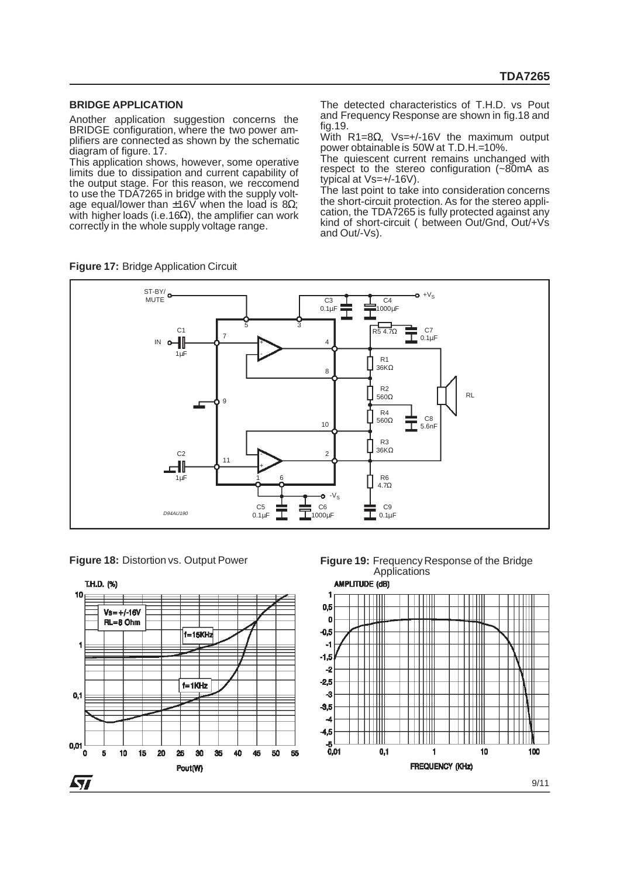#### **BRIDGE APPLICATION**

Another application suggestion concerns the BRIDGE configuration, where the two power amplifiers are connected as shown by the schematic diagram of figure. 17.

This application shows, however, some operative limits due to dissipation and current capability of the output stage. For this reason, we reccomend to use the TDA7265 in bridge with the supply voltage equal/lower than  $\pm 16V$  when the load is 8Ω; with higher loads (i.e.16Ω), the amplifier can work correctly in the whole supply voltage range.

The detected characteristics of T.H.D. vs Pout and Frequency Response are shown in fig.18 and fig.19.

With R1=8 $\Omega$ , Vs=+/-16V the maximum output power obtainable is 50W at T.D.H.=10%.

The quiescent current remains unchanged with respect to the stereo configuration (~80mA as typical at Vs=+/-16V).

The last point to take into consideration concerns the short-circuit protection. As for the stereo application, the TDA7265 is fully protected against any kind of short-circuit ( between Out/Gnd, Out/+Vs and Out/-Vs).





**Figure 18:** Distortion vs. Output Power **Figure 19:** Frequency Response of the Bridge **Applications** 

**Figure 17:** Bridge Application Circuit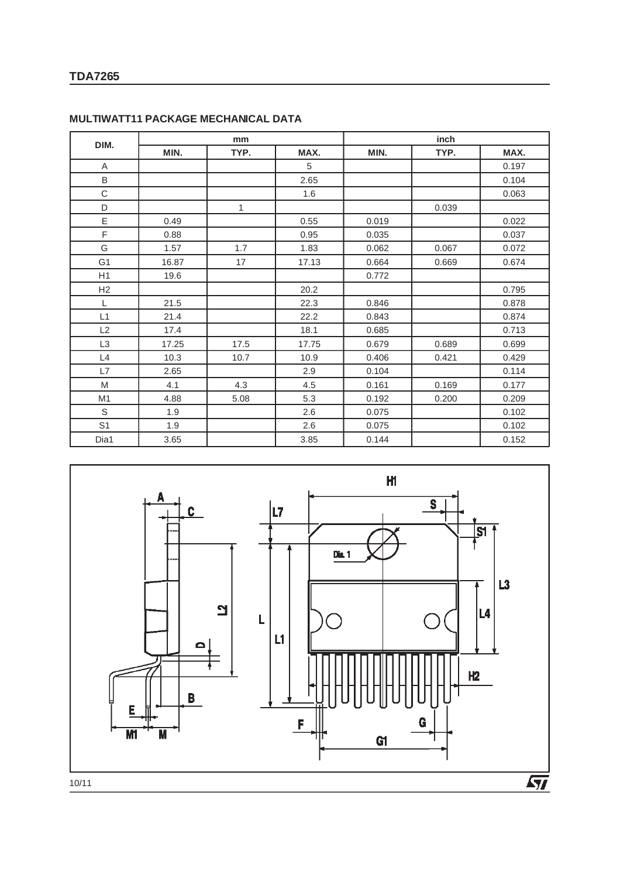| DIM.                                                                                                       | mm    |      |       | inch  |       |       |
|------------------------------------------------------------------------------------------------------------|-------|------|-------|-------|-------|-------|
|                                                                                                            | MIN.  | TYP. | MAX.  | MIN.  | TYP.  | MAX.  |
| Α                                                                                                          |       |      | 5     |       |       | 0.197 |
| B                                                                                                          |       |      | 2.65  |       |       | 0.104 |
| $\mathsf C$                                                                                                |       |      | 1.6   |       |       | 0.063 |
| D                                                                                                          |       | 1    |       |       | 0.039 |       |
| Ε                                                                                                          | 0.49  |      | 0.55  | 0.019 |       | 0.022 |
| F                                                                                                          | 0.88  |      | 0.95  | 0.035 |       | 0.037 |
| G                                                                                                          | 1.57  | 1.7  | 1.83  | 0.062 | 0.067 | 0.072 |
| G <sub>1</sub>                                                                                             | 16.87 | 17   | 17.13 | 0.664 | 0.669 | 0.674 |
| H1                                                                                                         | 19.6  |      |       | 0.772 |       |       |
| H2                                                                                                         |       |      | 20.2  |       |       | 0.795 |
| L                                                                                                          | 21.5  |      | 22.3  | 0.846 |       | 0.878 |
| L1                                                                                                         | 21.4  |      | 22.2  | 0.843 |       | 0.874 |
| L2                                                                                                         | 17.4  |      | 18.1  | 0.685 |       | 0.713 |
| L <sub>3</sub>                                                                                             | 17.25 | 17.5 | 17.75 | 0.679 | 0.689 | 0.699 |
| L4                                                                                                         | 10.3  | 10.7 | 10.9  | 0.406 | 0.421 | 0.429 |
| L7                                                                                                         | 2.65  |      | 2.9   | 0.104 |       | 0.114 |
| $\mathsf{M}% _{T}=\mathsf{M}_{T}\!\left( a,b\right) ,\ \mathsf{M}_{T}=\mathsf{M}_{T}\!\left( a,b\right) ,$ | 4.1   | 4.3  | 4.5   | 0.161 | 0.169 | 0.177 |
| M <sub>1</sub>                                                                                             | 4.88  | 5.08 | 5.3   | 0.192 | 0.200 | 0.209 |
| S                                                                                                          | 1.9   |      | 2.6   | 0.075 |       | 0.102 |
| S <sub>1</sub>                                                                                             | 1.9   |      | 2.6   | 0.075 |       | 0.102 |
| Dia1                                                                                                       | 3.65  |      | 3.85  | 0.144 |       | 0.152 |

#### **MULTIWATT11 PACKAGE MECHANICAL DATA**



10/11

 $\overline{\mathbf{S}}$